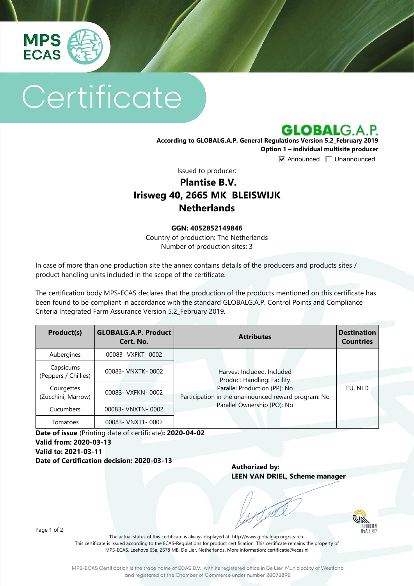

# Certificate

**GLOBALG.A.P.** 

**According to GLOBALG.A.P. General Regulations Version 5.2\_February 2019 Option 1 – individual multisite producer**

 $\overline{\triangledown}$  Announced  $\overline{\square}$  Unannounced

Issued to producer:

## **Plantise B.V. Irisweg 40, 2665 MK BLEISWIJK Netherlands**

#### **GGN: 4052852149846**

Country of production: The Netherlands Number of production sites: 3

In case of more than one production site the annex contains details of the producers and products sites / product handling units included in the scope of the certificate.

The certification body MPS-ECAS declares that the production of the products mentioned on this certificate has been found to be compliant in accordance with the standard GLOBALG.A.P. Control Points and Compliance Criteria Integrated Farm Assurance Version 5.2\_February 2019.

| Product(s)                        | <b>GLOBALG.A.P. Product</b><br>Cert. No. | <b>Attributes</b>                                                                                                                                                                     | <b>Destination</b><br><b>Countries</b> |
|-----------------------------------|------------------------------------------|---------------------------------------------------------------------------------------------------------------------------------------------------------------------------------------|----------------------------------------|
| Aubergines                        | 00083- VXFKT-0002                        | Harvest Included: Included<br><b>Product Handling: Facility</b><br>Parallel Production (PP): No<br>Participation in the unannounced reward program: No<br>Parallel Ownership (PO): No | EU, NLD                                |
| Capsicums<br>(Peppers / Chillies) | 00083- VNXTK-0002                        |                                                                                                                                                                                       |                                        |
| Courgettes<br>(Zucchini, Marrow)  | 00083- VXFKN-0002                        |                                                                                                                                                                                       |                                        |
| Cucumbers                         | 00083- VNXTN-0002                        |                                                                                                                                                                                       |                                        |
| Tomatoes                          | 00083- VNXTT-0002                        |                                                                                                                                                                                       |                                        |

**Date of issue** (Printing date of certificate)**: 2020-04-02 Valid from: 2020-03-13 Valid to: 2021-03-11 Date of Certification decision: 2020-03-13**

**Authorized by: LEEN VAN DRIEL, Scheme manager**

PRODUCTE<br>RvA C 26

Page 1 of 2

The actual status of this certificate is always displayed at: <http://www.globalgap.org/search>**.**  This certificate is issued according to the ECAS-Regulations for product certification. This certificate remains the property of MPS-ECAS, Leehove 65a, 2678 MB, De Lier, Netherlands. More information[: certificatie@ecas.nl](mailto:certificatie@ecas.nl)